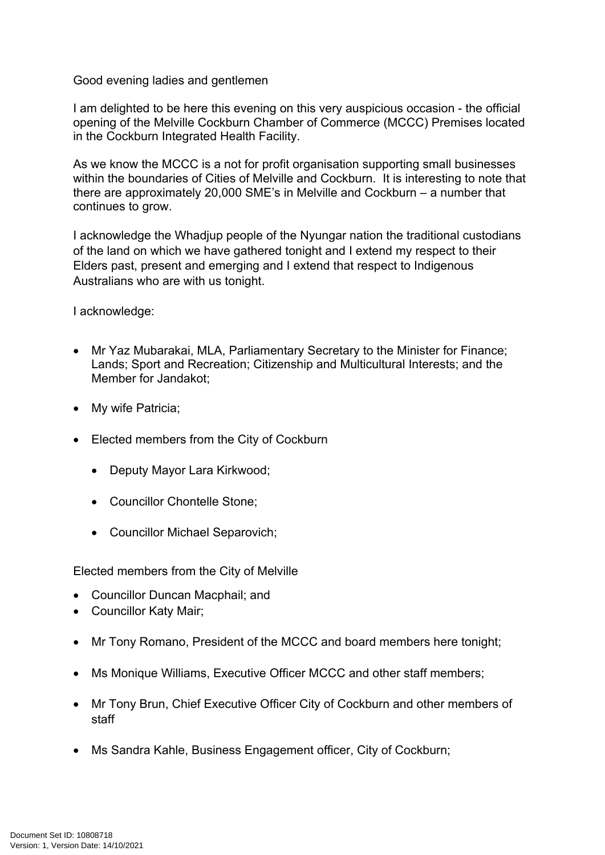## Good evening ladies and gentlemen

I am delighted to be here this evening on this very auspicious occasion - the official opening of the Melville Cockburn Chamber of Commerce (MCCC) Premises located in the Cockburn Integrated Health Facility.

As we know the MCCC is a not for profit organisation supporting small businesses within the boundaries of Cities of Melville and Cockburn. It is interesting to note that there are approximately 20,000 SME's in Melville and Cockburn – a number that continues to grow.

I acknowledge the Whadjup people of the Nyungar nation the traditional custodians of the land on which we have gathered tonight and I extend my respect to their Elders past, present and emerging and I extend that respect to Indigenous Australians who are with us tonight.

I acknowledge:

- Mr Yaz Mubarakai, MLA, Parliamentary Secretary to the Minister for Finance; Lands; Sport and Recreation; Citizenship and Multicultural Interests; and the Member for Jandakot;
- My wife Patricia;
- Elected members from the City of Cockburn
	- Deputy Mayor Lara Kirkwood;
	- Councillor Chontelle Stone:
	- Councillor Michael Separovich;

Elected members from the City of Melville

- Councillor Duncan Macphail; and
- Councillor Katy Mair;
- Mr Tony Romano, President of the MCCC and board members here tonight;
- Ms Monique Williams, Executive Officer MCCC and other staff members;
- Mr Tony Brun, Chief Executive Officer City of Cockburn and other members of staff
- Ms Sandra Kahle, Business Engagement officer, City of Cockburn;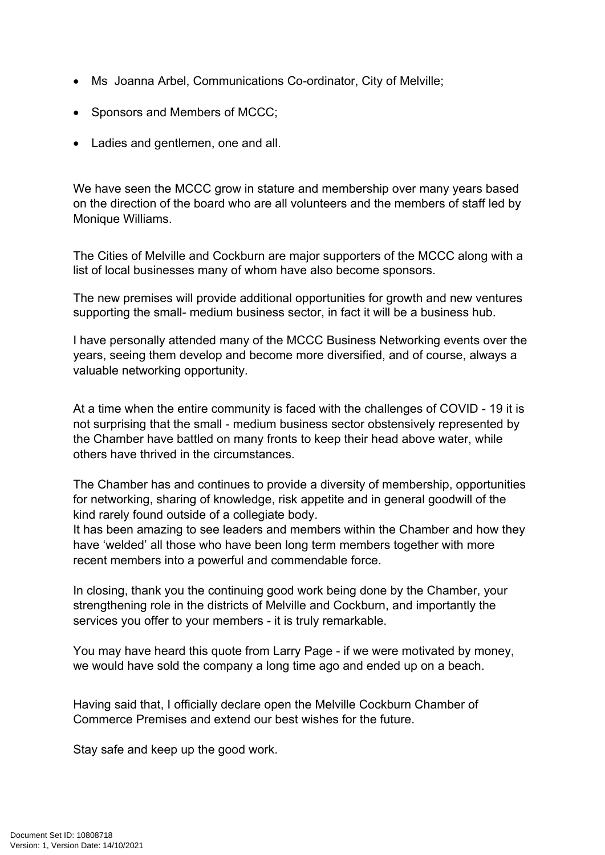- Ms Joanna Arbel, Communications Co-ordinator, City of Melville;
- Sponsors and Members of MCCC;
- Ladies and gentlemen, one and all.

We have seen the MCCC grow in stature and membership over many years based on the direction of the board who are all volunteers and the members of staff led by Monique Williams.

The Cities of Melville and Cockburn are major supporters of the MCCC along with a list of local businesses many of whom have also become sponsors.

The new premises will provide additional opportunities for growth and new ventures supporting the small- medium business sector, in fact it will be a business hub.

I have personally attended many of the MCCC Business Networking events over the years, seeing them develop and become more diversified, and of course, always a valuable networking opportunity.

At a time when the entire community is faced with the challenges of COVID - 19 it is not surprising that the small - medium business sector obstensively represented by the Chamber have battled on many fronts to keep their head above water, while others have thrived in the circumstances.

The Chamber has and continues to provide a diversity of membership, opportunities for networking, sharing of knowledge, risk appetite and in general goodwill of the kind rarely found outside of a collegiate body.

It has been amazing to see leaders and members within the Chamber and how they have 'welded' all those who have been long term members together with more recent members into a powerful and commendable force.

In closing, thank you the continuing good work being done by the Chamber, your strengthening role in the districts of Melville and Cockburn, and importantly the services you offer to your members - it is truly remarkable.

You may have heard this quote from Larry Page - if we were motivated by money, we would have sold the company a long time ago and ended up on a beach.

Having said that, I officially declare open the Melville Cockburn Chamber of Commerce Premises and extend our best wishes for the future.

Stay safe and keep up the good work.